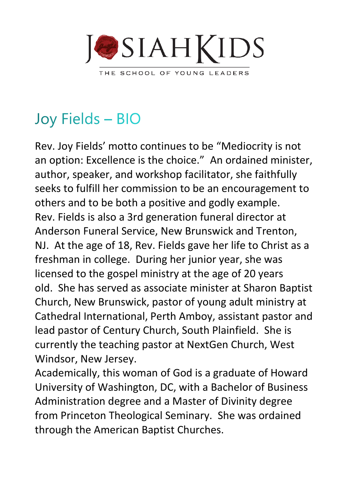

## Joy Fields - BIO

Rev. Joy Fields' motto continues to be "Mediocrity is not an option: Excellence is the choice." An ordained minister, author, speaker, and workshop facilitator, she faithfully seeks to fulfill her commission to be an encouragement to others and to be both a positive and godly example. Rev. Fields is also a 3rd generation funeral director at Anderson Funeral Service, New Brunswick and Trenton, NJ. At the age of 18, Rev. Fields gave her life to Christ as a freshman in college. During her junior year, she was licensed to the gospel ministry at the age of 20 years old. She has served as associate minister at Sharon Baptist Church, New Brunswick, pastor of young adult ministry at Cathedral International, Perth Amboy, assistant pastor and lead pastor of Century Church, South Plainfield. She is currently the teaching pastor at NextGen Church, West Windsor, New Jersey.

Academically, this woman of God is a graduate of Howard University of Washington, DC, with a Bachelor of Business Administration degree and a Master of Divinity degree from Princeton Theological Seminary. She was ordained through the American Baptist Churches.